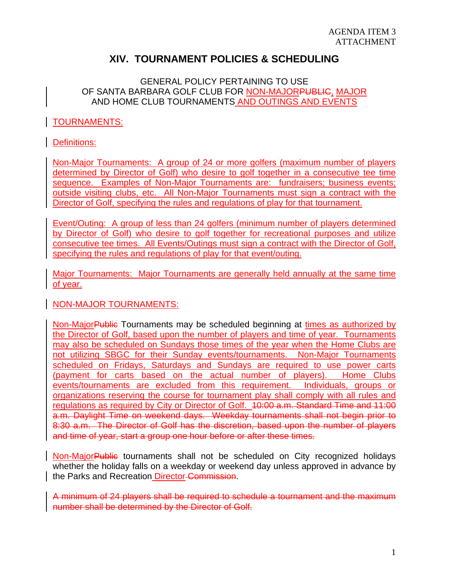# **XIV. TOURNAMENT POLICIES & SCHEDULING**

# GENERAL POLICY PERTAINING TO USE OF SANTA BARBARA GOLF CLUB FOR NON-MAJORPUBLIC, MAJOR AND HOME CLUB TOURNAMENTS AND OUTINGS AND EVENTS

# TOURNAMENTS:

# Definitions:

Non-Major Tournaments: A group of 24 or more golfers (maximum number of players determined by Director of Golf) who desire to golf together in a consecutive tee time sequence. Examples of Non-Major Tournaments are: fundraisers; business events; outside visiting clubs, etc. All Non-Major Tournaments must sign a contract with the Director of Golf, specifying the rules and regulations of play for that tournament.

Event/Outing: A group of less than 24 golfers (minimum number of players determined by Director of Golf) who desire to golf together for recreational purposes and utilize consecutive tee times. All Events/Outings must sign a contract with the Director of Golf, specifying the rules and regulations of play for that event/outing.

Major Tournaments: Major Tournaments are generally held annually at the same time of year.

### NON-MAJOR TOURNAMENTS:

Non-Major Public Tournaments may be scheduled beginning at times as authorized by the Director of Golf, based upon the number of players and time of year. Tournaments may also be scheduled on Sundays those times of the year when the Home Clubs are not utilizing SBGC for their Sunday events/tournaments. Non-Major Tournaments scheduled on Fridays, Saturdays and Sundays are required to use power carts (payment for carts based on the actual number of players). Home Clubs events/tournaments are excluded from this requirement. Individuals, groups or organizations reserving the course for tournament play shall comply with all rules and regulations as required by City or Director of Golf. 10:00 a.m. Standard Time and 11:00 a.m. Daylight Time on weekend days. Weekday tournaments shall not begin prior to 8:30 a.m. The Director of Golf has the discretion, based upon the number of players and time of year, start a group one hour before or after these times.

Non-MajorPublic tournaments shall not be scheduled on City recognized holidays whether the holiday falls on a weekday or weekend day unless approved in advance by the Parks and Recreation Director Commission.

A minimum of 24 players shall be required to schedule a tournament and the maximum number shall be determined by the Director of Golf.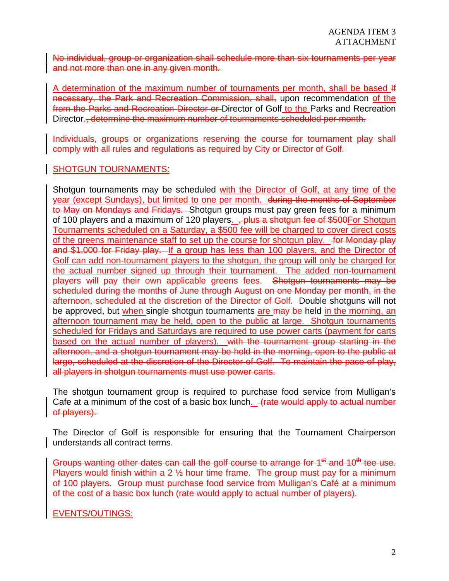No individual, group or organization shall schedule more than six tournaments per year and not more than one in any given month.

A determination of the maximum number of tournaments per month, shall be based # necessary, the Park and Recreation Commission, shall, upon recommendation of the from the Parks and Recreation Director or Director of Golf to the Parks and Recreation Director., determine the maximum number of tournaments scheduled per month.

Individuals, groups or organizations reserving the course for tournament play shall comply with all rules and regulations as required by City or Director of Golf.

#### SHOTGUN TOURNAMENTS:

Shotgun tournaments may be scheduled with the Director of Golf, at any time of the year (except Sundays), but limited to one per month. during the months of September to May on Mondays and Fridays. Shotgun groups must pay green fees for a minimum of 100 players and a maximum of 120 players. <del>, plus a shotgun fee of \$500</del>For Shotgun Tournaments scheduled on a Saturday, a \$500 fee will be charged to cover direct costs of the greens maintenance staff to set up the course for shotgun play. for Monday play and \$1,000 for Friday play. If a group has less than 100 players, and the Director of Golf can add non-tournament players to the shotgun, the group will only be charged for the actual number signed up through their tournament. The added non-tournament players will pay their own applicable greens fees. Shotgun tournaments may be scheduled during the months of June through August on one Monday per month, in the afternoon, scheduled at the discretion of the Director of Golf. Double shotguns will not be approved, but when single shotgun tournaments are may be held in the morning, an afternoon tournament may be held, open to the public at large. Shotgun tournaments scheduled for Fridays and Saturdays are required to use power carts (payment for carts based on the actual number of players). with the tournament group starting in the afternoon, and a shotgun tournament may be held in the morning, open to the public at large, scheduled at the discretion of the Director of Golf. To maintain the pace of play, all players in shotgun tournaments must use power carts.

The shotgun tournament group is required to purchase food service from Mulligan's Cafe at a minimum of the cost of a basic box lunch.  $\frac{1}{x}$  (rate would apply to actual number of players).

The Director of Golf is responsible for ensuring that the Tournament Chairperson understands all contract terms.

Groups wanting other dates can call the golf course to arrange for 1<sup>et</sup> and 10<sup>th</sup> tee use. Players would finish within a 2 ½ hour time frame. The group must pay for a minimum of 100 players. Group must purchase food service from Mulligan's Café at a minimum of the cost of a basic box lunch (rate would apply to actual number of players).

### EVENTS/OUTINGS: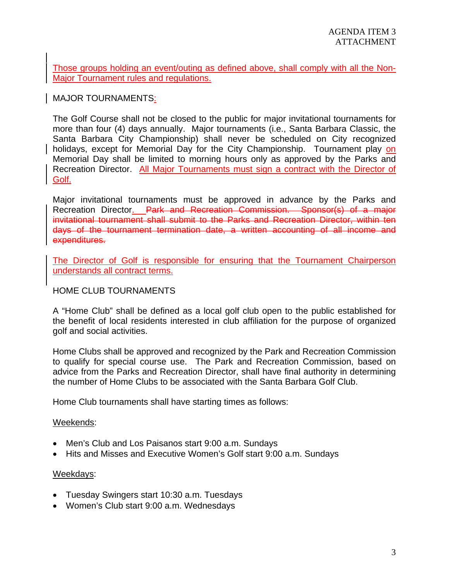Those groups holding an event/outing as defined above, shall comply with all the Non-Major Tournament rules and regulations.

MAJOR TOURNAMENTS:

The Golf Course shall not be closed to the public for major invitational tournaments for more than four (4) days annually. Major tournaments (i.e., Santa Barbara Classic, the Santa Barbara City Championship) shall never be scheduled on City recognized holidays, except for Memorial Day for the City Championship. Tournament play on Memorial Day shall be limited to morning hours only as approved by the Parks and Recreation Director. All Major Tournaments must sign a contract with the Director of Golf.

Major invitational tournaments must be approved in advance by the Parks and Recreation Director. Park and Recreation Commission. Sponsor(s) of a major invitational tournament shall submit to the Parks and Recreation Director, within ten days of the tournament termination date, a written accounting of all income and expenditures.

The Director of Golf is responsible for ensuring that the Tournament Chairperson understands all contract terms.

### HOME CLUB TOURNAMENTS

A "Home Club" shall be defined as a local golf club open to the public established for the benefit of local residents interested in club affiliation for the purpose of organized golf and social activities.

Home Clubs shall be approved and recognized by the Park and Recreation Commission to qualify for special course use. The Park and Recreation Commission, based on advice from the Parks and Recreation Director, shall have final authority in determining the number of Home Clubs to be associated with the Santa Barbara Golf Club.

Home Club tournaments shall have starting times as follows:

#### Weekends:

- Men's Club and Los Paisanos start 9:00 a.m. Sundays
- Hits and Misses and Executive Women's Golf start 9:00 a.m. Sundays

#### Weekdays:

- Tuesday Swingers start 10:30 a.m. Tuesdays
- Women's Club start 9:00 a.m. Wednesdays